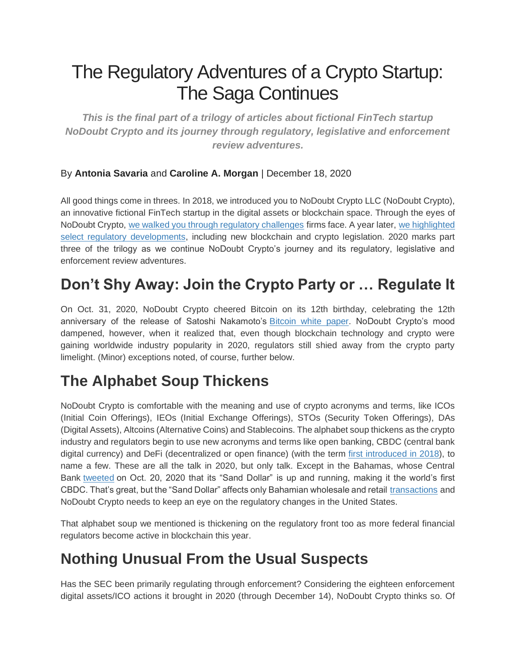# The Regulatory Adventures of a Crypto Startup: The Saga Continues

*This is the final part of a trilogy of articles about fictional FinTech startup NoDoubt Crypto and its journey through regulatory, legislative and enforcement review adventures.*

#### By **Antonia Savaria** and **Caroline A. Morgan** | December 18, 2020

All good things come in threes. In 2018, we introduced you to NoDoubt Crypto LLC (NoDoubt Crypto), an innovative fictional FinTech startup in the digital assets or blockchain space. Through the eyes of NoDoubt Crypto, [we walked you through regulatory challenges](https://www.law.com/newyorklawjournal/2018/12/04/the-regulatory-adventures-of-a-crypto-startup/) firms face. A year later, [we highlighted](https://www.law.com/newyorklawjournal/2020/02/06/the-regulatory-adventures-of-a-crypto-startup-part-deux/)  [select regulatory developments,](https://www.law.com/newyorklawjournal/2020/02/06/the-regulatory-adventures-of-a-crypto-startup-part-deux/) including new blockchain and crypto legislation. 2020 marks part three of the trilogy as we continue NoDoubt Crypto's journey and its regulatory, legislative and enforcement review adventures.

# **Don't Shy Away: Join the Crypto Party or … Regulate It**

On Oct. 31, 2020, NoDoubt Crypto cheered Bitcoin on its 12th birthday, celebrating the 12th anniversary of the release of Satoshi Nakamoto's [Bitcoin white paper.](https://bitcoin.org/bitcoin.pdf) NoDoubt Crypto's mood dampened, however, when it realized that, even though blockchain technology and crypto were gaining worldwide industry popularity in 2020, regulators still shied away from the crypto party limelight. (Minor) exceptions noted, of course, further below.

#### **The Alphabet Soup Thickens**

NoDoubt Crypto is comfortable with the meaning and use of crypto acronyms and terms, like ICOs (Initial Coin Offerings), IEOs (Initial Exchange Offerings), STOs (Security Token Offerings), DAs (Digital Assets), Altcoins (Alternative Coins) and Stablecoins. The alphabet soup thickens as the crypto industry and regulators begin to use new acronyms and terms like open banking, CBDC (central bank digital currency) and DeFi (decentralized or open finance) (with the term [first introduced in 2018\)](https://coinmarketcap.com/alexandria/article/what-is-decentralized-finance), to name a few. These are all the talk in 2020, but only talk. Except in the Bahamas, whose Central Bank [tweeted](https://twitter.com/CentralbankBS1/status/1318658064074084352) on Oct. 20, 2020 that its "Sand Dollar" is up and running, making it the world's first CBDC. That's great, but the "Sand Dollar" affects only Bahamian wholesale and retail [transactions](https://www.forbes.com/sites/vipinbharathan/2020/10/21/central-bank-digital-currency-the-first-nationwide-cbdc-in-the-world-has-been-launched-by-the-bahamas/?sh=49fa9ce506eb) and NoDoubt Crypto needs to keep an eye on the regulatory changes in the United States.

That alphabet soup we mentioned is thickening on the regulatory front too as more federal financial regulators become active in blockchain this year.

# **Nothing Unusual From the Usual Suspects**

Has the SEC been primarily regulating through enforcement? Considering the eighteen enforcement digital assets/ICO actions it brought in 2020 (through December 14), NoDoubt Crypto thinks so. Of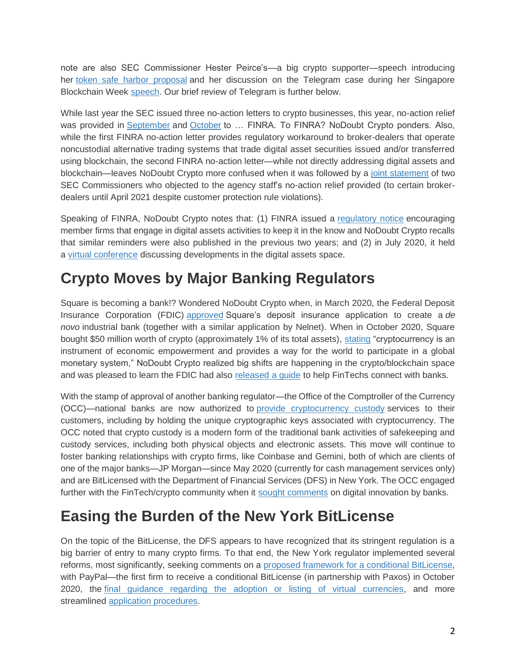note are also SEC Commissioner Hester Peirce's—a big crypto supporter—speech introducing her [token safe harbor proposal](https://www.sec.gov/news/speech/peirce-remarks-blockress-2020-02-06) and her discussion on the Telegram case during her Singapore Blockchain Week [speech.](https://www.sec.gov/news/speech/peirce-not-braking-and-breaking-2020-07-21) Our brief review of Telegram is further below.

While last year the SEC issued three no-action letters to crypto businesses, this year, no-action relief was provided in [September](https://www.sec.gov/divisions/marketreg/mr-noaction/2020/finra-ats-role-in-settlement-of-digital-asset-security-trades-09252020.pdf) and [October](https://www.sec.gov/divisions/marketreg/mr-noaction/2020/finra-fpl-20201022-15c3-3.pdf) to ... FINRA. To FINRA? NoDoubt Crypto ponders. Also, while the first FINRA no-action letter provides regulatory workaround to broker-dealers that operate noncustodial alternative trading systems that trade digital asset securities issued and/or transferred using blockchain, the second FINRA no-action letter—while not directly addressing digital assets and blockchain—leaves NoDoubt Crypto more confused when it was followed by a [joint statement](https://www.sec.gov/news/public-statement/lee-crenshaw-customer-protection-2020-10-23) of two SEC Commissioners who objected to the agency staff's no-action relief provided (to certain brokerdealers until April 2021 despite customer protection rule violations).

Speaking of FINRA, NoDoubt Crypto notes that: (1) FINRA issued a [regulatory notice](https://www.finra.org/sites/default/files/2020-07/Regulatory-Notice-20-23.pdf) encouraging member firms that engage in digital assets activities to keep it in the know and NoDoubt Crypto recalls that similar reminders were also published in the previous two years; and (2) in July 2020, it held a [virtual conference](https://www.finra.org/events-training/virtual-conference-panels/developments-digital-assets-market) discussing developments in the digital assets space.

### **Crypto Moves by Major Banking Regulators**

Square is becoming a bank!? Wondered NoDoubt Crypto when, in March 2020, the Federal Deposit Insurance Corporation (FDIC) [approved](https://www.fdic.gov/news/press-releases/2020/pr20033a.pdf) Square's deposit insurance application to create a *de novo* industrial bank (together with a similar application by Nelnet). When in October 2020, Square bought \$50 million worth of crypto (approximately 1% of its total assets), [stating](https://squareup.com/us/en/press/2020-bitcoin-investment) "cryptocurrency is an instrument of economic empowerment and provides a way for the world to participate in a global monetary system," NoDoubt Crypto realized big shifts are happening in the crypto/blockchain space and was pleased to learn the FDIC had also [released a guide](https://www.fdic.gov/fditech/guide.pdf) to help FinTechs connect with banks.

With the stamp of approval of another banking regulator—the Office of the Comptroller of the Currency (OCC)—national banks are now authorized to [provide cryptocurrency custody](https://www.occ.gov/topics/charters-and-licensing/interpretations-and-actions/2020/int1170.pdf) services to their customers, including by holding the unique cryptographic keys associated with cryptocurrency. The OCC noted that crypto custody is a modern form of the traditional bank activities of safekeeping and custody services, including both physical objects and electronic assets. This move will continue to foster banking relationships with crypto firms, like Coinbase and Gemini, both of which are clients of one of the major banks—JP Morgan—since May 2020 (currently for cash management services only) and are BitLicensed with the Department of Financial Services (DFS) in New York. The OCC engaged further with the FinTech/crypto community when it [sought comments](https://www.occ.gov/news-issuances/news-releases/2020/nr-occ-2020-76a.pdf) on digital innovation by banks.

#### **Easing the Burden of the New York BitLicense**

On the topic of the BitLicense, the DFS appears to have recognized that its stringent regulation is a big barrier of entry to many crypto firms. To that end, the New York regulator implemented several reforms, most significantly, seeking comments on a [proposed framework for a conditional BitLicense,](https://www.dfs.ny.gov/apps_and_licensing/virtual_currency_businesses/gn/req_comments_prop_framework) with PayPal—the first firm to receive a conditional BitLicense (in partnership with Paxos) in October 2020, the [final guidance regarding the adoption or listing of virtual currencies,](https://www.dfs.ny.gov/apps_and_licensing/virtual_currency_businesses/gn/adoption_listing_vc) and more streamlined [application procedures.](https://www.dfs.ny.gov/apps_and_licensing/virtual_currency_businesses/gn/notice_vc_busact_lic_app_procedure)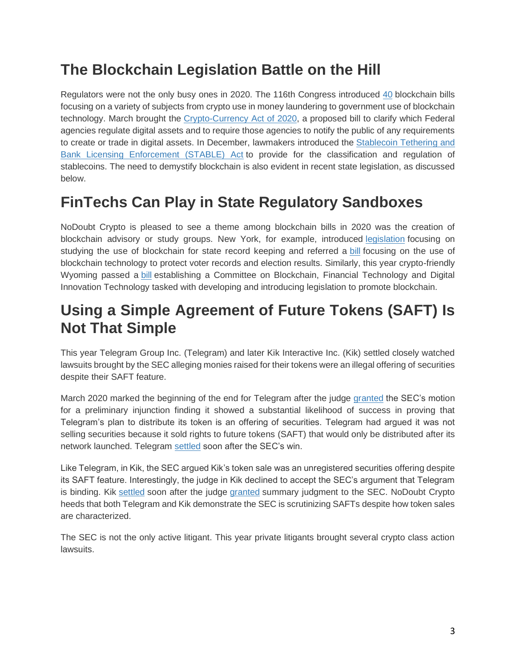# **The Blockchain Legislation Battle on the Hill**

Regulators were not the only busy ones in 2020. The 116th Congress introduced [40](https://www.forbes.com/sites/jasonbrett/2020/10/17/in-2019-2020-congress-introduced-40-crypto-and-blockchain-bills/?sh=75af92bb6213) blockchain bills focusing on a variety of subjects from crypto use in money laundering to government use of blockchain technology. March brought the [Crypto-Currency Act of 2020,](https://www.congress.gov/bill/116th-congress/house-bill/6154/text?r=6&s=1) a proposed bill to clarify which Federal agencies regulate digital assets and to require those agencies to notify the public of any requirements to create or trade in digital assets. In December, lawmakers introduced the [Stablecoin Tethering and](https://tlaib.house.gov/sites/tlaib.house.gov/files/STABLEAct.pdf)  [Bank Licensing Enforcement \(STABLE\) Act](https://tlaib.house.gov/sites/tlaib.house.gov/files/STABLEAct.pdf) to provide for the classification and regulation of stablecoins. The need to demystify blockchain is also evident in recent state legislation, as discussed below.

### **FinTechs Can Play in State Regulatory Sandboxes**

NoDoubt Crypto is pleased to see a theme among blockchain bills in 2020 was the creation of blockchain advisory or study groups. New York, for example, introduced [legislation](https://www.nysenate.gov/legislation/bills/2019/s8887) focusing on studying the use of blockchain for state record keeping and referred a [bill](https://www.nysenate.gov/legislation/bills/2019/A1351) focusing on the use of blockchain technology to protect voter records and election results. Similarly, this year crypto-friendly Wyoming passed a [bill](https://www.wyoleg.gov/Legislation/2020/HB0027) establishing a Committee on Blockchain, Financial Technology and Digital Innovation Technology tasked with developing and introducing legislation to promote blockchain.

#### **Using a Simple Agreement of Future Tokens (SAFT) Is Not That Simple**

This year Telegram Group Inc. (Telegram) and later Kik Interactive Inc. (Kik) settled closely watched lawsuits brought by the SEC alleging monies raised for their tokens were an illegal offering of securities despite their SAFT feature.

March 2020 marked the beginning of the end for Telegram after the judge [granted](https://static.reuters.com/resources/media/editorial/20200325/secvtelegram--castelopinion.pdf) the SEC's motion for a preliminary injunction finding it showed a substantial likelihood of success in proving that Telegram's plan to distribute its token is an offering of securities. Telegram had argued it was not selling securities because it sold rights to future tokens (SAFT) that would only be distributed after its network launched. Telegram [settled](https://www.sec.gov/news/press-release/2020-146#:~:text=Press%20Release-,Telegram%20to%20Return%20%241.2%20Billion%20to%20Investors%20and%20Pay,Penalty%20to%20Settle%20SEC%20Charges&text=The%20Securities%20and%20Exchange%20Commission,settlements%20with%20Telegram%20Group%20Inc.) soon after the SEC's win.

Like Telegram, in Kik, the SEC argued Kik's token sale was an unregistered securities offering despite its SAFT feature. Interestingly, the judge in Kik declined to accept the SEC's argument that Telegram is binding. Kik [settled](https://www.sec.gov/news/press-release/2020-262) soon after the judge [granted](https://static.reuters.com/resources/media/editorial/20201001/secvkik--SJopinion.pdf) summary judgment to the SEC. NoDoubt Crypto heeds that both Telegram and Kik demonstrate the SEC is scrutinizing SAFTs despite how token sales are characterized.

The SEC is not the only active litigant. This year private litigants brought several crypto class action lawsuits.